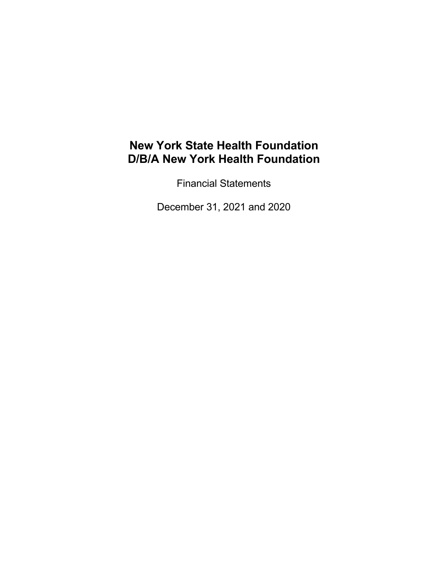Financial Statements

December 31, 2021 and 2020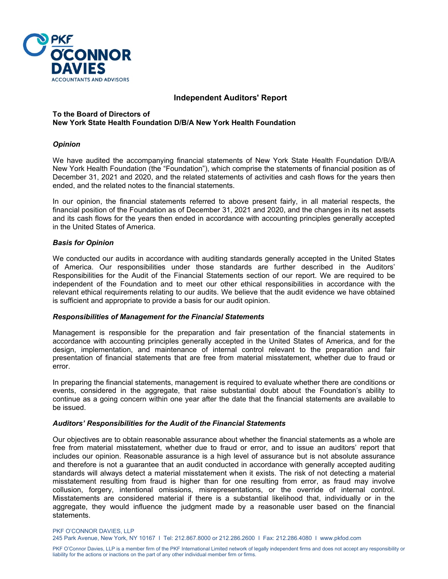

#### **Independent Auditors' Report**

#### **To the Board of Directors of New York State Health Foundation D/B/A New York Health Foundation**

#### *Opinion*

We have audited the accompanying financial statements of New York State Health Foundation D/B/A New York Health Foundation (the "Foundation"), which comprise the statements of financial position as of December 31, 2021 and 2020, and the related statements of activities and cash flows for the years then ended, and the related notes to the financial statements.

In our opinion, the financial statements referred to above present fairly, in all material respects, the financial position of the Foundation as of December 31, 2021 and 2020, and the changes in its net assets and its cash flows for the years then ended in accordance with accounting principles generally accepted in the United States of America.

#### *Basis for Opinion*

We conducted our audits in accordance with auditing standards generally accepted in the United States of America. Our responsibilities under those standards are further described in the Auditors' Responsibilities for the Audit of the Financial Statements section of our report. We are required to be independent of the Foundation and to meet our other ethical responsibilities in accordance with the relevant ethical requirements relating to our audits. We believe that the audit evidence we have obtained is sufficient and appropriate to provide a basis for our audit opinion.

#### *Responsibilities of Management for the Financial Statements*

Management is responsible for the preparation and fair presentation of the financial statements in accordance with accounting principles generally accepted in the United States of America, and for the design, implementation, and maintenance of internal control relevant to the preparation and fair presentation of financial statements that are free from material misstatement, whether due to fraud or error.

In preparing the financial statements, management is required to evaluate whether there are conditions or events, considered in the aggregate, that raise substantial doubt about the Foundation's ability to continue as a going concern within one year after the date that the financial statements are available to be issued.

#### *Auditors' Responsibilities for the Audit of the Financial Statements*

Our objectives are to obtain reasonable assurance about whether the financial statements as a whole are free from material misstatement, whether due to fraud or error, and to issue an auditors' report that includes our opinion. Reasonable assurance is a high level of assurance but is not absolute assurance and therefore is not a guarantee that an audit conducted in accordance with generally accepted auditing standards will always detect a material misstatement when it exists. The risk of not detecting a material misstatement resulting from fraud is higher than for one resulting from error, as fraud may involve collusion, forgery, intentional omissions, misrepresentations, or the override of internal control. Misstatements are considered material if there is a substantial likelihood that, individually or in the aggregate, they would influence the judgment made by a reasonable user based on the financial statements.

PKF O'CONNOR DAVIES, LLP 245 Park Avenue, New York, NY 10167 I Tel: 212.867.8000 or 212.286.2600 I Fax: 212.286.4080 I www.pkfod.com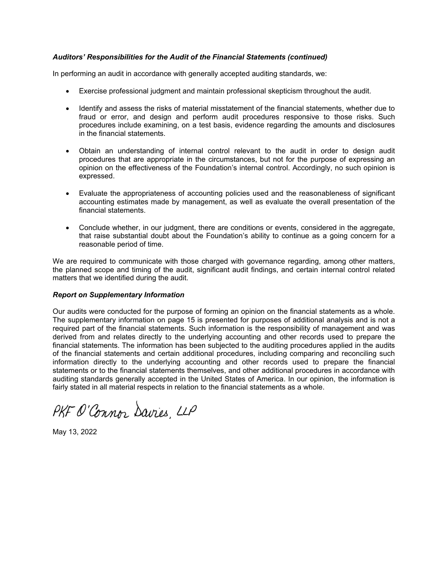#### *Auditors' Responsibilities for the Audit of the Financial Statements (continued)*

In performing an audit in accordance with generally accepted auditing standards, we:

- Exercise professional judgment and maintain professional skepticism throughout the audit.
- Identify and assess the risks of material misstatement of the financial statements, whether due to fraud or error, and design and perform audit procedures responsive to those risks. Such procedures include examining, on a test basis, evidence regarding the amounts and disclosures in the financial statements.
- Obtain an understanding of internal control relevant to the audit in order to design audit procedures that are appropriate in the circumstances, but not for the purpose of expressing an opinion on the effectiveness of the Foundation's internal control. Accordingly, no such opinion is expressed.
- Evaluate the appropriateness of accounting policies used and the reasonableness of significant accounting estimates made by management, as well as evaluate the overall presentation of the financial statements.
- Conclude whether, in our judgment, there are conditions or events, considered in the aggregate, that raise substantial doubt about the Foundation's ability to continue as a going concern for a reasonable period of time.

We are required to communicate with those charged with governance regarding, among other matters, the planned scope and timing of the audit, significant audit findings, and certain internal control related matters that we identified during the audit.

#### *Report on Supplementary Information*

Our audits were conducted for the purpose of forming an opinion on the financial statements as a whole. The supplementary information on page 15 is presented for purposes of additional analysis and is not a required part of the financial statements. Such information is the responsibility of management and was derived from and relates directly to the underlying accounting and other records used to prepare the financial statements. The information has been subjected to the auditing procedures applied in the audits of the financial statements and certain additional procedures, including comparing and reconciling such information directly to the underlying accounting and other records used to prepare the financial statements or to the financial statements themselves, and other additional procedures in accordance with auditing standards generally accepted in the United States of America. In our opinion, the information is fairly stated in all material respects in relation to the financial statements as a whole.

PKF O'Connor Davies LLP

May 13, 2022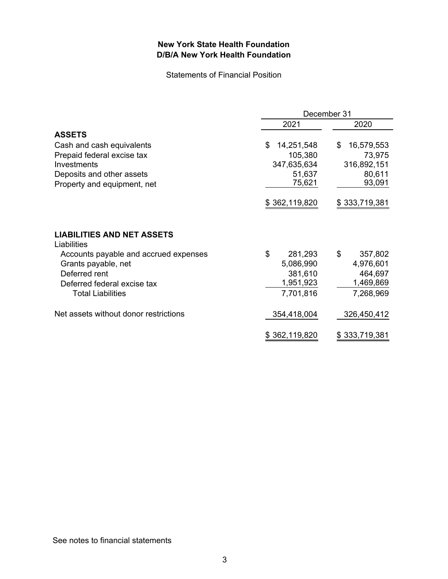Statements of Financial Position

|                                                  | December 31      |                  |
|--------------------------------------------------|------------------|------------------|
|                                                  | 2021             | 2020             |
| <b>ASSETS</b>                                    |                  |                  |
| Cash and cash equivalents                        | 14,251,548<br>\$ | \$<br>16,579,553 |
| Prepaid federal excise tax                       | 105,380          | 73,975           |
| Investments                                      | 347,635,634      | 316,892,151      |
| Deposits and other assets                        | 51,637           | 80,611           |
| Property and equipment, net                      | 75,621           | 93,091           |
|                                                  | \$362,119,820    | \$333,719,381    |
| <b>LIABILITIES AND NET ASSETS</b><br>Liabilities |                  |                  |
| Accounts payable and accrued expenses            | \$<br>281,293    | \$<br>357,802    |
| Grants payable, net                              | 5,086,990        | 4,976,601        |
| Deferred rent                                    | 381,610          | 464,697          |
| Deferred federal excise tax                      | 1,951,923        | 1,469,869        |
| <b>Total Liabilities</b>                         | 7,701,816        | 7,268,969        |
| Net assets without donor restrictions            | 354,418,004      | 326,450,412      |
|                                                  | \$362,119,820    | \$333,719,381    |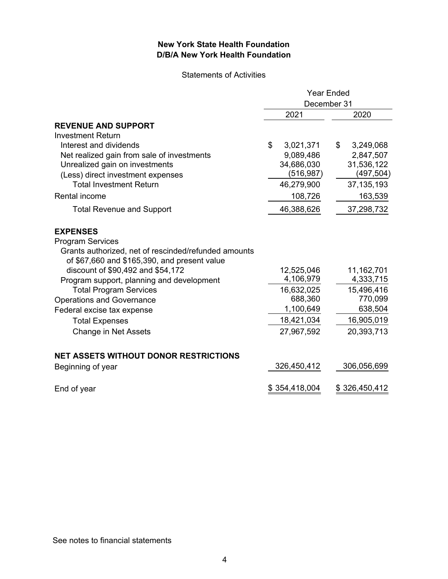# Statements of Activities

|                                                      | <b>Year Ended</b> |               |    |               |
|------------------------------------------------------|-------------------|---------------|----|---------------|
|                                                      | December 31       |               |    |               |
|                                                      |                   | 2021          |    | 2020          |
| <b>REVENUE AND SUPPORT</b>                           |                   |               |    |               |
| <b>Investment Return</b>                             |                   |               |    |               |
| Interest and dividends                               | \$                | 3,021,371     | \$ | 3,249,068     |
| Net realized gain from sale of investments           |                   | 9,089,486     |    | 2,847,507     |
| Unrealized gain on investments                       |                   | 34,686,030    |    | 31,536,122    |
| (Less) direct investment expenses                    |                   | (516,987)     |    | (497,504)     |
| <b>Total Investment Return</b>                       |                   | 46,279,900    |    | 37, 135, 193  |
| <b>Rental income</b>                                 |                   | 108,726       |    | 163,539       |
| <b>Total Revenue and Support</b>                     |                   | 46,388,626    |    | 37,298,732    |
| <b>EXPENSES</b>                                      |                   |               |    |               |
| <b>Program Services</b>                              |                   |               |    |               |
| Grants authorized, net of rescinded/refunded amounts |                   |               |    |               |
| of \$67,660 and \$165,390, and present value         |                   |               |    |               |
| discount of \$90,492 and \$54,172                    |                   | 12,525,046    |    | 11,162,701    |
| Program support, planning and development            |                   | 4,106,979     |    | 4,333,715     |
| <b>Total Program Services</b>                        |                   | 16,632,025    |    | 15,496,416    |
| <b>Operations and Governance</b>                     |                   | 688,360       |    | 770,099       |
| Federal excise tax expense                           |                   | 1,100,649     |    | 638,504       |
| <b>Total Expenses</b>                                |                   | 18,421,034    |    | 16,905,019    |
| <b>Change in Net Assets</b>                          |                   | 27,967,592    |    | 20,393,713    |
| <b>NET ASSETS WITHOUT DONOR RESTRICTIONS</b>         |                   |               |    |               |
| Beginning of year                                    |                   | 326,450,412   |    | 306,056,699   |
| End of year                                          |                   | \$354,418,004 |    | \$326,450,412 |

See notes to financial statements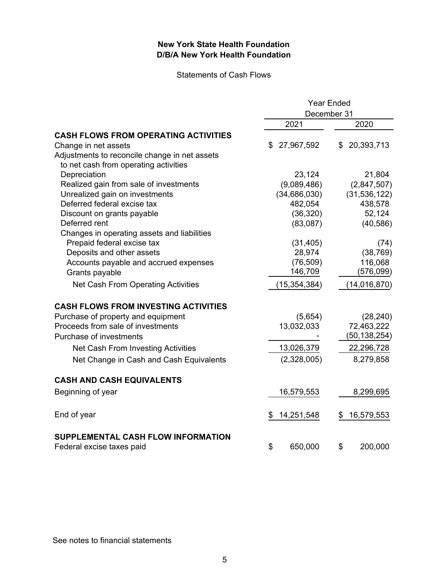Statements of Cash Flows

|                                                                                                                                                                                                | <b>Year Ended</b>                                             |                                                              |  |
|------------------------------------------------------------------------------------------------------------------------------------------------------------------------------------------------|---------------------------------------------------------------|--------------------------------------------------------------|--|
|                                                                                                                                                                                                | December 31                                                   |                                                              |  |
|                                                                                                                                                                                                | 2021                                                          | 2020                                                         |  |
| <b>CASH FLOWS FROM OPERATING ACTIVITIES</b><br>Change in net assets<br>Adjustments to reconcile change in net assets                                                                           | 27,967,592<br>\$                                              | 20,393,713<br>\$                                             |  |
| to net cash from operating activities<br>Depreciation<br>Realized gain from sale of investments<br>Unrealized gain on investments<br>Deferred federal excise tax<br>Discount on grants payable | 23,124<br>(9,089,486)<br>(34,686,030)<br>482,054<br>(36, 320) | 21,804<br>(2,847,507)<br>(31, 536, 122)<br>438,578<br>52,124 |  |
| Deferred rent<br>Changes in operating assets and liabilities<br>Prepaid federal excise tax                                                                                                     | (83,087)<br>(31, 405)                                         | (40, 586)<br>(74)                                            |  |
| Deposits and other assets<br>Accounts payable and accrued expenses<br>Grants payable                                                                                                           | 28,974<br>(76, 509)<br>146,709                                | (38, 769)<br>116,068<br>(576,099)                            |  |
| Net Cash From Operating Activities<br><b>CASH FLOWS FROM INVESTING ACTIVITIES</b>                                                                                                              | (15, 354, 384)                                                | (14, 016, 870)                                               |  |
| Purchase of property and equipment<br>Proceeds from sale of investments<br>Purchase of investments<br>Net Cash From Investing Activities                                                       | (5,654)<br>13,032,033<br>13,026,379                           | (28, 240)<br>72,463,222<br>(50, 138, 254)<br>22,296,728      |  |
| Net Change in Cash and Cash Equivalents                                                                                                                                                        | (2,328,005)                                                   | 8,279,858                                                    |  |
| <b>CASH AND CASH EQUIVALENTS</b>                                                                                                                                                               |                                                               |                                                              |  |
| Beginning of year                                                                                                                                                                              | 16,579,553                                                    | 8,299,695                                                    |  |
| End of year                                                                                                                                                                                    | 14,251,548<br>\$                                              | 16,579,553<br>\$                                             |  |
| SUPPLEMENTAL CASH FLOW INFORMATION<br>Federal excise taxes paid                                                                                                                                | \$<br>650,000                                                 | \$<br>200,000                                                |  |

See notes to financial statements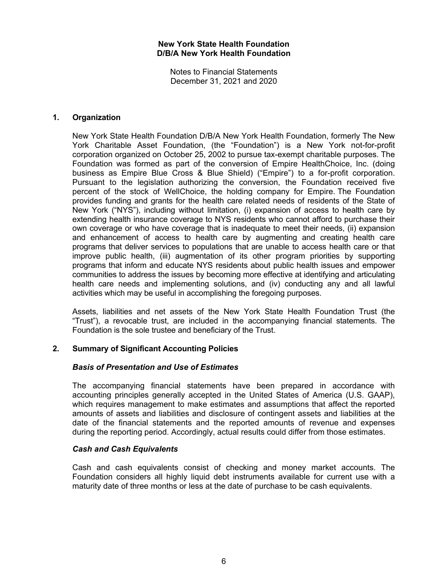Notes to Financial Statements December 31, 2021 and 2020

## **1. Organization**

New York State Health Foundation D/B/A New York Health Foundation, formerly The New York Charitable Asset Foundation, (the "Foundation") is a New York not-for-profit corporation organized on October 25, 2002 to pursue tax-exempt charitable purposes. The Foundation was formed as part of the conversion of Empire HealthChoice, Inc. (doing business as Empire Blue Cross & Blue Shield) ("Empire") to a for-profit corporation. Pursuant to the legislation authorizing the conversion, the Foundation received five percent of the stock of WellChoice, the holding company for Empire. The Foundation provides funding and grants for the health care related needs of residents of the State of New York ("NYS"), including without limitation, (i) expansion of access to health care by extending health insurance coverage to NYS residents who cannot afford to purchase their own coverage or who have coverage that is inadequate to meet their needs, (ii) expansion and enhancement of access to health care by augmenting and creating health care programs that deliver services to populations that are unable to access health care or that improve public health, (iii) augmentation of its other program priorities by supporting programs that inform and educate NYS residents about public health issues and empower communities to address the issues by becoming more effective at identifying and articulating health care needs and implementing solutions, and (iv) conducting any and all lawful activities which may be useful in accomplishing the foregoing purposes.

Assets, liabilities and net assets of the New York State Health Foundation Trust (the "Trust"), a revocable trust, are included in the accompanying financial statements. The Foundation is the sole trustee and beneficiary of the Trust.

# **2. Summary of Significant Accounting Policies**

## *Basis of Presentation and Use of Estimates*

The accompanying financial statements have been prepared in accordance with accounting principles generally accepted in the United States of America (U.S. GAAP), which requires management to make estimates and assumptions that affect the reported amounts of assets and liabilities and disclosure of contingent assets and liabilities at the date of the financial statements and the reported amounts of revenue and expenses during the reporting period. Accordingly, actual results could differ from those estimates.

## *Cash and Cash Equivalents*

Cash and cash equivalents consist of checking and money market accounts. The Foundation considers all highly liquid debt instruments available for current use with a maturity date of three months or less at the date of purchase to be cash equivalents.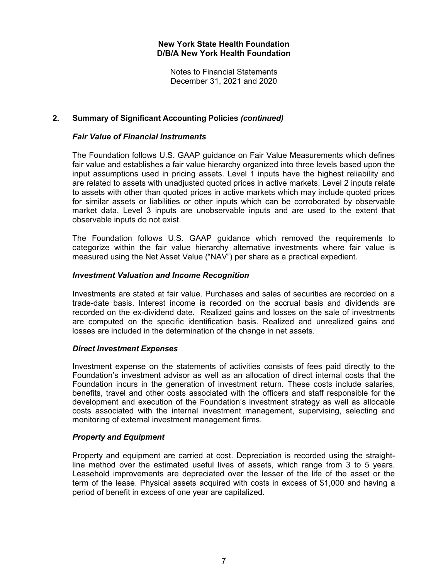Notes to Financial Statements December 31, 2021 and 2020

## **2. Summary of Significant Accounting Policies** *(continued)*

## *Fair Value of Financial Instruments*

The Foundation follows U.S. GAAP guidance on Fair Value Measurements which defines fair value and establishes a fair value hierarchy organized into three levels based upon the input assumptions used in pricing assets. Level 1 inputs have the highest reliability and are related to assets with unadjusted quoted prices in active markets. Level 2 inputs relate to assets with other than quoted prices in active markets which may include quoted prices for similar assets or liabilities or other inputs which can be corroborated by observable market data. Level 3 inputs are unobservable inputs and are used to the extent that observable inputs do not exist.

The Foundation follows U.S. GAAP guidance which removed the requirements to categorize within the fair value hierarchy alternative investments where fair value is measured using the Net Asset Value ("NAV") per share as a practical expedient.

## *Investment Valuation and Income Recognition*

Investments are stated at fair value. Purchases and sales of securities are recorded on a trade-date basis. Interest income is recorded on the accrual basis and dividends are recorded on the ex-dividend date. Realized gains and losses on the sale of investments are computed on the specific identification basis. Realized and unrealized gains and losses are included in the determination of the change in net assets.

## *Direct Investment Expenses*

Investment expense on the statements of activities consists of fees paid directly to the Foundation's investment advisor as well as an allocation of direct internal costs that the Foundation incurs in the generation of investment return. These costs include salaries, benefits, travel and other costs associated with the officers and staff responsible for the development and execution of the Foundation's investment strategy as well as allocable costs associated with the internal investment management, supervising, selecting and monitoring of external investment management firms.

## *Property and Equipment*

Property and equipment are carried at cost. Depreciation is recorded using the straightline method over the estimated useful lives of assets, which range from 3 to 5 years. Leasehold improvements are depreciated over the lesser of the life of the asset or the term of the lease. Physical assets acquired with costs in excess of \$1,000 and having a period of benefit in excess of one year are capitalized.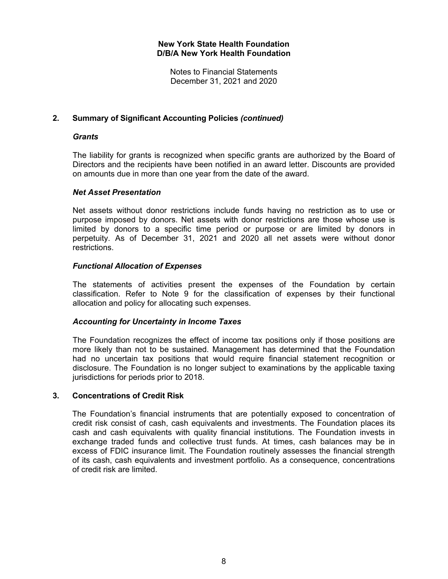Notes to Financial Statements December 31, 2021 and 2020

## **2. Summary of Significant Accounting Policies** *(continued)*

## *Grants*

The liability for grants is recognized when specific grants are authorized by the Board of Directors and the recipients have been notified in an award letter. Discounts are provided on amounts due in more than one year from the date of the award.

## *Net Asset Presentation*

Net assets without donor restrictions include funds having no restriction as to use or purpose imposed by donors. Net assets with donor restrictions are those whose use is limited by donors to a specific time period or purpose or are limited by donors in perpetuity. As of December 31, 2021 and 2020 all net assets were without donor restrictions.

## *Functional Allocation of Expenses*

The statements of activities present the expenses of the Foundation by certain classification. Refer to Note 9 for the classification of expenses by their functional allocation and policy for allocating such expenses.

# *Accounting for Uncertainty in Income Taxes*

The Foundation recognizes the effect of income tax positions only if those positions are more likely than not to be sustained. Management has determined that the Foundation had no uncertain tax positions that would require financial statement recognition or disclosure. The Foundation is no longer subject to examinations by the applicable taxing jurisdictions for periods prior to 2018.

## **3. Concentrations of Credit Risk**

The Foundation's financial instruments that are potentially exposed to concentration of credit risk consist of cash, cash equivalents and investments. The Foundation places its cash and cash equivalents with quality financial institutions. The Foundation invests in exchange traded funds and collective trust funds. At times, cash balances may be in excess of FDIC insurance limit. The Foundation routinely assesses the financial strength of its cash, cash equivalents and investment portfolio. As a consequence, concentrations of credit risk are limited.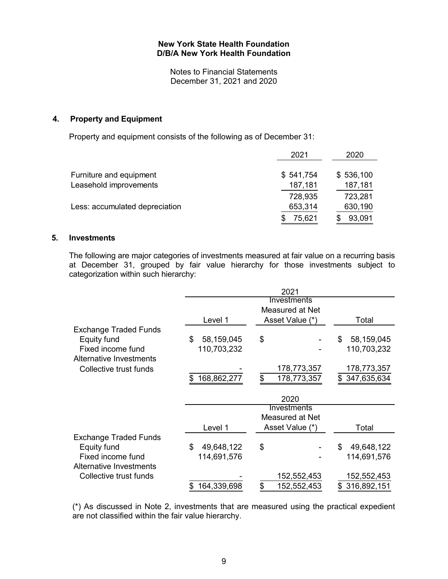Notes to Financial Statements December 31, 2021 and 2020

## **4. Property and Equipment**

Property and equipment consists of the following as of December 31:

|                                | 2021      | 2020      |
|--------------------------------|-----------|-----------|
| Furniture and equipment        | \$541,754 | \$536,100 |
| Leasehold improvements         | 187,181   | 187,181   |
|                                | 728,935   | 723,281   |
| Less: accumulated depreciation | 653,314   | 630,190   |
|                                | 75,621    | 93,091    |

## **5. Investments**

The following are major categories of investments measured at fair value on a recurring basis at December 31, grouped by fair value hierarchy for those investments subject to categorization within such hierarchy:

|                                             |                  | 2021              |                    |
|---------------------------------------------|------------------|-------------------|--------------------|
|                                             |                  | Investments       |                    |
|                                             |                  | Measured at Net   |                    |
|                                             | Level 1          | Asset Value (*)   | Total              |
| <b>Exchange Traded Funds</b><br>Equity fund | \$<br>58,159,045 | \$                | 58,159,045<br>\$.  |
| Fixed income fund                           | 110,703,232      |                   | 110,703,232        |
| Alternative Investments                     |                  |                   |                    |
| Collective trust funds                      |                  | 178,773,357       | 178,773,357        |
|                                             | 168,862,277      | \$<br>178,773,357 | \$347,635,634      |
|                                             |                  | 2020              |                    |
|                                             |                  | Investments       |                    |
|                                             |                  | Measured at Net   |                    |
|                                             | Level 1          | Asset Value (*)   | Total              |
| <b>Exchange Traded Funds</b>                |                  |                   |                    |
| Equity fund                                 | 49,648,122<br>\$ | \$                | 49,648,122<br>S    |
| Fixed income fund                           | 114,691,576      |                   | 114,691,576        |
| <b>Alternative Investments</b>              |                  |                   |                    |
| Collective trust funds                      |                  | 152,552,453       | 152,552,453        |
|                                             | 164,339,698      | 152,552,453       | 316,892,151<br>\$. |

(\*) As discussed in Note 2, investments that are measured using the practical expedient are not classified within the fair value hierarchy.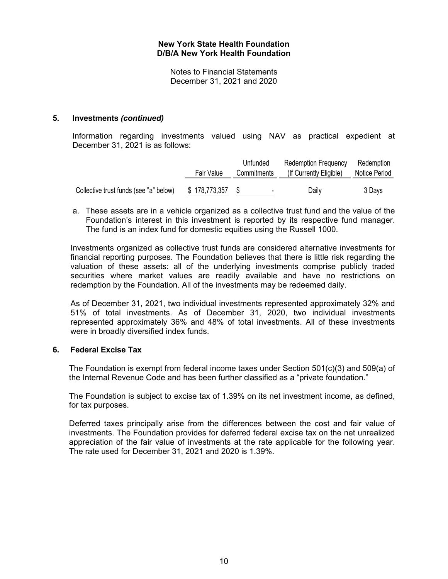Notes to Financial Statements December 31, 2021 and 2020

## **5. Investments** *(continued)*

Information regarding investments valued using NAV as practical expedient at December 31, 2021 is as follows:

|                                        | <b>Fair Value</b> | Unfunded<br>Commitments | <b>Redemption Frequency</b><br>(If Currently Eligible) | Redemption<br>Notice Period |
|----------------------------------------|-------------------|-------------------------|--------------------------------------------------------|-----------------------------|
| Collective trust funds (see "a" below) | $$178,773,357$ \$ | $\blacksquare$          | Daily                                                  | 3 Days                      |

a. These assets are in a vehicle organized as a collective trust fund and the value of the Foundation's interest in this investment is reported by its respective fund manager. The fund is an index fund for domestic equities using the Russell 1000.

Investments organized as collective trust funds are considered alternative investments for financial reporting purposes. The Foundation believes that there is little risk regarding the valuation of these assets: all of the underlying investments comprise publicly traded securities where market values are readily available and have no restrictions on redemption by the Foundation. All of the investments may be redeemed daily.

As of December 31, 2021, two individual investments represented approximately 32% and 51% of total investments. As of December 31, 2020, two individual investments represented approximately 36% and 48% of total investments. All of these investments were in broadly diversified index funds.

## **6. Federal Excise Tax**

The Foundation is exempt from federal income taxes under Section 501(c)(3) and 509(a) of the Internal Revenue Code and has been further classified as a "private foundation."

The Foundation is subject to excise tax of 1.39% on its net investment income, as defined, for tax purposes.

Deferred taxes principally arise from the differences between the cost and fair value of investments. The Foundation provides for deferred federal excise tax on the net unrealized appreciation of the fair value of investments at the rate applicable for the following year. The rate used for December 31, 2021 and 2020 is 1.39%.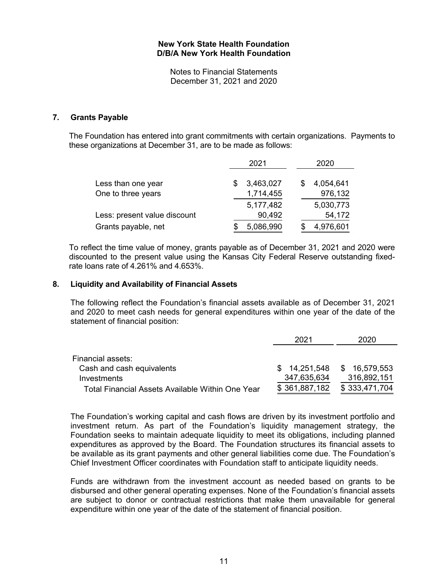Notes to Financial Statements December 31, 2021 and 2020

## **7. Grants Payable**

The Foundation has entered into grant commitments with certain organizations. Payments to these organizations at December 31, are to be made as follows:

|                              | 2021      | 2020      |
|------------------------------|-----------|-----------|
| Less than one year           | 3,463,027 | 4,054,641 |
| One to three years           | 1,714,455 | 976,132   |
|                              | 5,177,482 | 5,030,773 |
| Less: present value discount | 90,492    | 54,172    |
| Grants payable, net          | 5,086,990 | 4,976,601 |

To reflect the time value of money, grants payable as of December 31, 2021 and 2020 were discounted to the present value using the Kansas City Federal Reserve outstanding fixedrate loans rate of 4.261% and 4.653%.

#### **8. Liquidity and Availability of Financial Assets**

The following reflect the Foundation's financial assets available as of December 31, 2021 and 2020 to meet cash needs for general expenditures within one year of the date of the statement of financial position:

|                                                         | 2021          | 2020                        |
|---------------------------------------------------------|---------------|-----------------------------|
|                                                         |               |                             |
| Financial assets:                                       |               |                             |
| Cash and cash equivalents                               |               | $$14,251,548$ $$16,579,553$ |
| Investments                                             | 347,635,634   | 316,892,151                 |
| <b>Total Financial Assets Available Within One Year</b> | \$361,887,182 | \$333,471,704               |

The Foundation's working capital and cash flows are driven by its investment portfolio and investment return. As part of the Foundation's liquidity management strategy, the Foundation seeks to maintain adequate liquidity to meet its obligations, including planned expenditures as approved by the Board. The Foundation structures its financial assets to be available as its grant payments and other general liabilities come due. The Foundation's Chief Investment Officer coordinates with Foundation staff to anticipate liquidity needs.

Funds are withdrawn from the investment account as needed based on grants to be disbursed and other general operating expenses. None of the Foundation's financial assets are subject to donor or contractual restrictions that make them unavailable for general expenditure within one year of the date of the statement of financial position.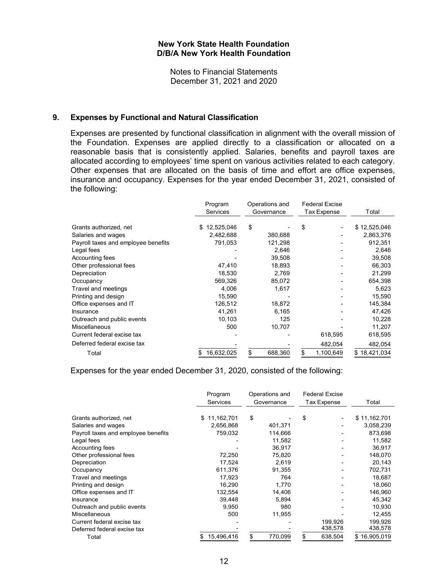Notes to Financial Statements December 31, 2021 and 2020

## **9. Expenses by Functional and Natural Classification**

Expenses are presented by functional classification in alignment with the overall mission of the Foundation. Expenses are applied directly to a classification or allocated on a reasonable basis that is consistently applied. Salaries, benefits and payroll taxes are allocated according to employees' time spent on various activities related to each category. Other expenses that are allocated on the basis of time and effort are office expenses, insurance and occupancy. Expenses for the year ended December 31, 2021, consisted of the following:

|                                     | Program          | Operations and | <b>Federal Excise</b> |              |
|-------------------------------------|------------------|----------------|-----------------------|--------------|
|                                     | Services         | Governance     | Tax Expense           | Total        |
|                                     |                  |                |                       |              |
| Grants authorized, net              | 12,525,046<br>S. | \$             | \$                    | \$12,525,046 |
| Salaries and wages                  | 2,482,688        | 380,688        |                       | 2,863,376    |
| Payroll taxes and employee benefits | 791,053          | 121,298        |                       | 912,351      |
| Legal fees                          |                  | 2,646          |                       | 2,646        |
| Accounting fees                     |                  | 39,508         |                       | 39,508       |
| Other professional fees             | 47,410           | 18,893         |                       | 66,303       |
| Depreciation                        | 18,530           | 2,769          |                       | 21,299       |
| Occupancy                           | 569,326          | 85,072         |                       | 654,398      |
| Travel and meetings                 | 4,006            | 1,617          |                       | 5,623        |
| Printing and design                 | 15,590           |                |                       | 15,590       |
| Office expenses and IT              | 126,512          | 18,872         |                       | 145,384      |
| <b>Insurance</b>                    | 41,261           | 6,165          |                       | 47,426       |
| Outreach and public events          | 10,103           | 125            |                       | 10,228       |
| Miscellaneous                       | 500              | 10,707         |                       | 11,207       |
| Current federal excise tax          |                  |                | 618,595               | 618,595      |
| Deferred federal excise tax         |                  |                | 482,054               | 482,054      |
| Total                               | 16,632,025       | \$<br>688,360  | \$<br>1,100,649       | \$18.421.034 |

Expenses for the year ended December 31, 2020, consisted of the following:

|                                     | Program<br><b>Services</b> | Operations and<br>Governance | <b>Federal Excise</b><br>Tax Expense | Total        |
|-------------------------------------|----------------------------|------------------------------|--------------------------------------|--------------|
|                                     |                            |                              |                                      |              |
| Grants authorized, net              | 11,162,701<br>S            | \$                           | \$                                   | \$11,162,701 |
| Salaries and wages                  | 2,656,868                  | 401,371                      |                                      | 3,058,239    |
| Payroll taxes and employee benefits | 759,032                    | 114,666                      |                                      | 873,698      |
| Legal fees                          |                            | 11,582                       |                                      | 11,582       |
| Accounting fees                     |                            | 36,917                       |                                      | 36,917       |
| Other professional fees             | 72,250                     | 75,820                       |                                      | 148,070      |
| Depreciation                        | 17,524                     | 2,619                        |                                      | 20,143       |
| Occupancy                           | 611,376                    | 91.355                       |                                      | 702,731      |
| Travel and meetings                 | 17,923                     | 764                          |                                      | 18,687       |
| Printing and design                 | 16,290                     | 1,770                        |                                      | 18,060       |
| Office expenses and IT              | 132,554                    | 14,406                       |                                      | 146,960      |
| Insurance                           | 39,448                     | 5,894                        |                                      | 45,342       |
| Outreach and public events          | 9,950                      | 980                          |                                      | 10,930       |
| Miscellaneous                       | 500                        | 11,955                       |                                      | 12,455       |
| Current federal excise tax          |                            |                              | 199,926                              | 199,926      |
| Deferred federal excise tax         |                            |                              | 438,578                              | 438,578      |
| Total                               | 15,496,416                 | \$<br>770,099                | \$<br>638,504                        | \$16,905,019 |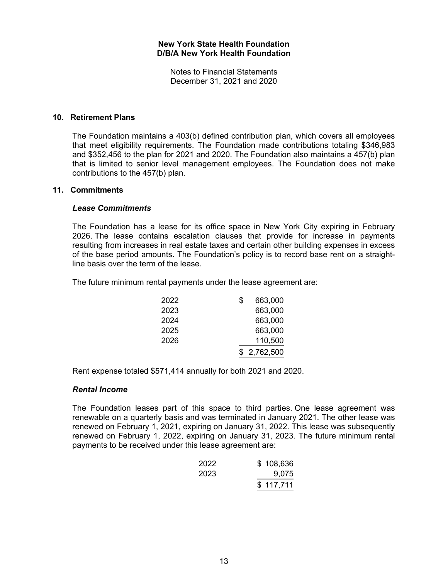Notes to Financial Statements December 31, 2021 and 2020

#### **10. Retirement Plans**

The Foundation maintains a 403(b) defined contribution plan, which covers all employees that meet eligibility requirements. The Foundation made contributions totaling \$346,983 and \$352,456 to the plan for 2021 and 2020. The Foundation also maintains a 457(b) plan that is limited to senior level management employees. The Foundation does not make contributions to the 457(b) plan.

#### **11. Commitments**

## *Lease Commitments*

The Foundation has a lease for its office space in New York City expiring in February 2026. The lease contains escalation clauses that provide for increase in payments resulting from increases in real estate taxes and certain other building expenses in excess of the base period amounts. The Foundation's policy is to record base rent on a straightline basis over the term of the lease.

The future minimum rental payments under the lease agreement are:

| 2023 | 663,000   |
|------|-----------|
| 2024 | 663,000   |
| 2025 | 663,000   |
| 2026 | 110,500   |
|      | 2,762,500 |

Rent expense totaled \$571,414 annually for both 2021 and 2020.

## *Rental Income*

The Foundation leases part of this space to third parties. One lease agreement was renewable on a quarterly basis and was terminated in January 2021. The other lease was renewed on February 1, 2021, expiring on January 31, 2022. This lease was subsequently renewed on February 1, 2022, expiring on January 31, 2023. The future minimum rental payments to be received under this lease agreement are:

| 2022 | \$108,636 |
|------|-----------|
| 2023 | 9,075     |
|      | \$117,711 |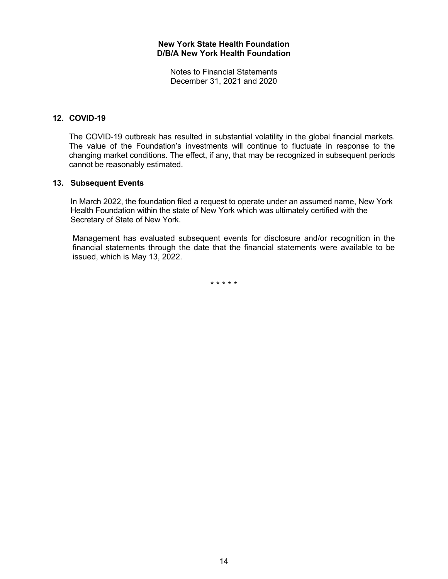Notes to Financial Statements December 31, 2021 and 2020

## **12. COVID-19**

The COVID-19 outbreak has resulted in substantial volatility in the global financial markets. The value of the Foundation's investments will continue to fluctuate in response to the changing market conditions. The effect, if any, that may be recognized in subsequent periods cannot be reasonably estimated.

## **13. Subsequent Events**

In March 2022, the foundation filed a request to operate under an assumed name, New York Health Foundation within the state of New York which was ultimately certified with the Secretary of State of New York.

Management has evaluated subsequent events for disclosure and/or recognition in the financial statements through the date that the financial statements were available to be issued, which is May 13, 2022.

\* \* \* \* \*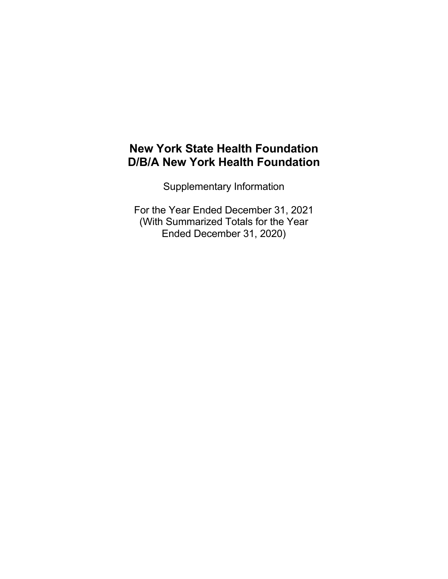Supplementary Information

For the Year Ended December 31, 2021 (With Summarized Totals for the Year Ended December 31, 2020)